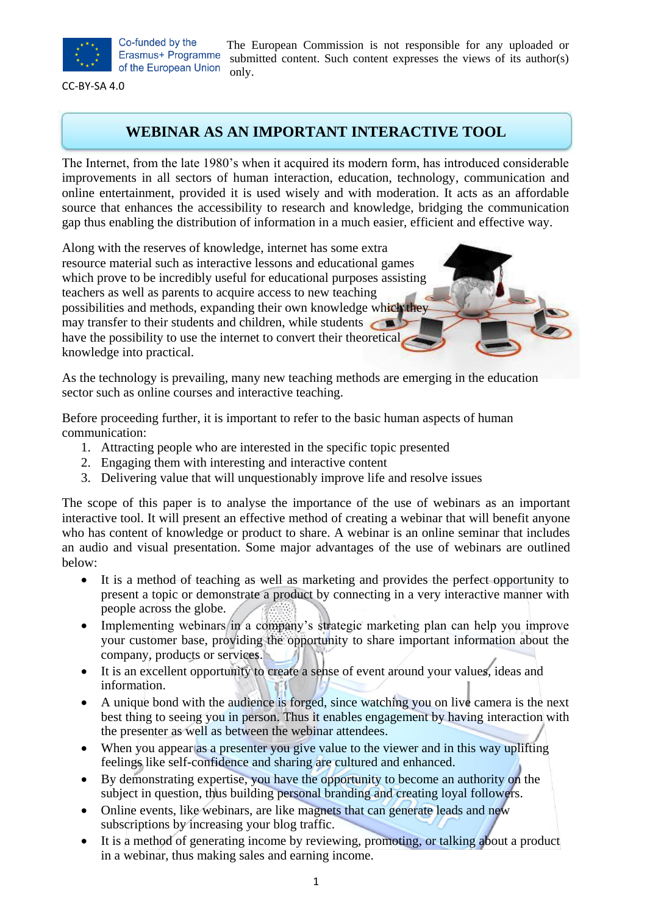

Co-funded by the Erasmus+ Programme of the European Union

The European Commission is not responsible for any uploaded or submitted content. Such content expresses the views of its author(s) only.

CC-BY-SA 4.0

### **WEBINAR AS AN IMPORTANT INTERACTIVE TOOL**

The Internet, from the late 1980's when it acquired its modern form, has introduced considerable improvements in all sectors of human interaction, education, technology, communication and online entertainment, provided it is used wisely and with moderation. It acts as an affordable source that enhances the accessibility to research and knowledge, bridging the communication gap thus enabling the distribution of information in a much easier, efficient and effective way.

Along with the reserves of knowledge, internet has some extra resource material such as interactive lessons and educational games which prove to be incredibly useful for educational purposes assisting teachers as well as parents to acquire access to new teaching possibilities and methods, expanding their own knowledge which they may transfer to their students and children, while students have the possibility to use the internet to convert their theoretical knowledge into practical.

As the technology is prevailing, many new teaching methods are emerging in the education sector such as online courses and interactive teaching.

Before proceeding further, it is important to refer to the basic human aspects of human communication:

- 1. Attracting people who are interested in the specific topic presented
- 2. Engaging them with interesting and interactive content
- 3. Delivering value that will unquestionably improve life and resolve issues

The scope of this paper is to analyse the importance of the use of webinars as an important interactive tool. It will present an effective method of creating a webinar that will benefit anyone who has content of knowledge or product to share. A webinar is an online seminar that includes an audio and visual presentation. Some major advantages of the use of webinars are outlined below:

- It is a method of teaching as well as marketing and provides the perfect opportunity to present a topic or demonstrate a product by connecting in a very interactive manner with people across the globe.
- Implementing webinars/in a company's strategic marketing plan can help you improve your customer base, providing the opportunity to share important information about the company, products or services.
- It is an excellent opportunity to create a sense of event around your values, ideas and information.
- A unique bond with the audience is forged, since watching you on live camera is the next best thing to seeing you in person. Thus it enables engagement by having interaction with the presenter as well as between the webinar attendees.
- When you appear as a presenter you give value to the viewer and in this way uplifting feelings like self-confidence and sharing are cultured and enhanced.
- By demonstrating expertise, you have the opportunity to become an authority on the subject in question, thus building personal branding and creating loyal followers.
- Online events, like webinars, are like magnets that can generate leads and new subscriptions by increasing your blog traffic.
- It is a method of generating income by reviewing, promoting, or talking about a product in a webinar, thus making sales and earning income.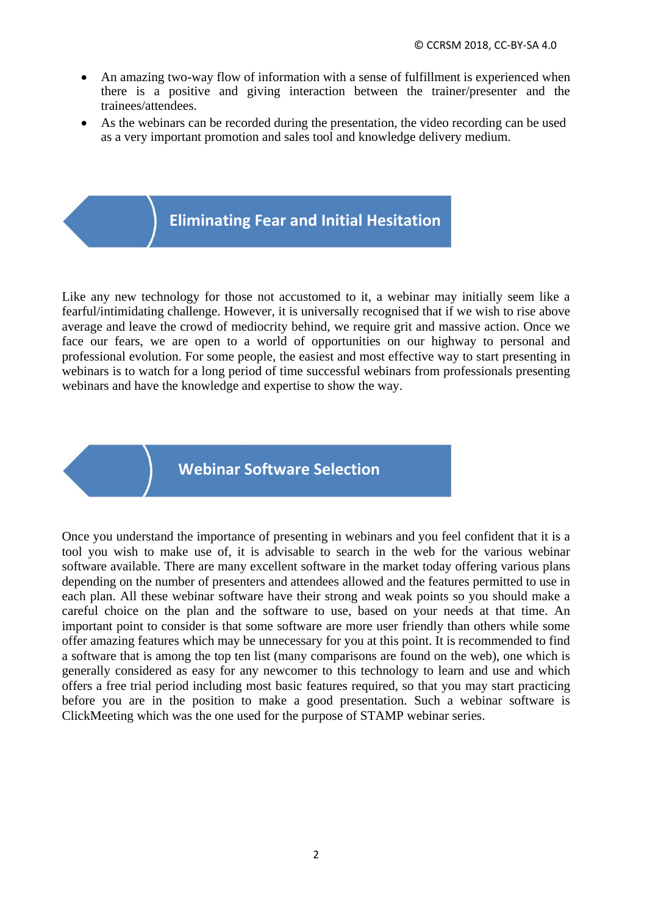- An amazing two-way flow of information with a sense of fulfillment is experienced when there is a positive and giving interaction between the trainer/presenter and the trainees/attendees.
- As the webinars can be recorded during the presentation, the video recording can be used as a very important promotion and sales tool and knowledge delivery medium.

# **Eliminating Fear and Initial Hesitation**

Like any new technology for those not accustomed to it, a webinar may initially seem like a fearful/intimidating challenge. However, it is universally recognised that if we wish to rise above average and leave the crowd of mediocrity behind, we require grit and massive action. Once we face our fears, we are open to a world of opportunities on our highway to personal and professional evolution. For some people, the easiest and most effective way to start presenting in webinars is to watch for a long period of time successful webinars from professionals presenting webinars and have the knowledge and expertise to show the way.

## **Webinar Software Selection**

Once you understand the importance of presenting in webinars and you feel confident that it is a tool you wish to make use of, it is advisable to search in the web for the various webinar software available. There are many excellent software in the market today offering various plans depending on the number of presenters and attendees allowed and the features permitted to use in each plan. All these webinar software have their strong and weak points so you should make a careful choice on the plan and the software to use, based on your needs at that time. An important point to consider is that some software are more user friendly than others while some offer amazing features which may be unnecessary for you at this point. It is recommended to find a software that is among the top ten list (many comparisons are found on the web), one which is generally considered as easy for any newcomer to this technology to learn and use and which offers a free trial period including most basic features required, so that you may start practicing before you are in the position to make a good presentation. Such a webinar software is ClickMeeting which was the one used for the purpose of STAMP webinar series.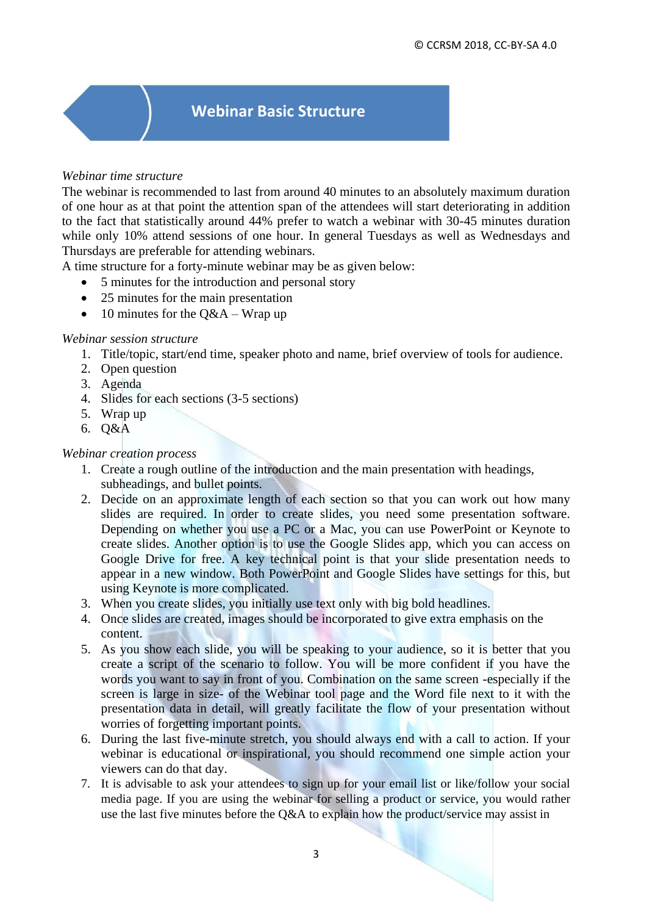## **Webinar Basic Structure**

#### *Webinar time structure*

The webinar is recommended to last from around 40 minutes to an absolutely maximum duration of one hour as at that point the attention span of the attendees will start deteriorating in addition to the fact that statistically around 44% prefer to watch a webinar with 30-45 minutes duration while only 10% attend sessions of one hour. In general Tuesdays as well as Wednesdays and Thursdays are preferable for attending webinars.

A time structure for a forty-minute webinar may be as given below:

- 5 minutes for the introduction and personal story
- 25 minutes for the main presentation
- 10 minutes for the  $Q&A-Wrap$  up

#### *Webinar session structure*

- 1. Title/topic, start/end time, speaker photo and name, brief overview of tools for audience.
- 2. Open question
- 3. Agenda
- 4. Slides for each sections (3-5 sections)
- 5. Wrap up
- 6. Q&A

#### *Webinar creation process*

- 1. Create a rough outline of the introduction and the main presentation with headings, subheadings, and bullet points.
- 2. Decide on an approximate length of each section so that you can work out how many slides are required. In order to create slides, you need some presentation software. Depending on whether you use a PC or a Mac, you can use PowerPoint or Keynote to create slides. Another option is to use the Google Slides app, which you can access on Google Drive for free. A key technical point is that your slide presentation needs to appear in a new window. Both PowerPoint and Google Slides have settings for this, but using Keynote is more complicated.
- 3. When you create slides, you initially use text only with big bold headlines.
- 4. Once slides are created, images should be incorporated to give extra emphasis on the content.
- 5. As you show each slide, you will be speaking to your audience, so it is better that you create a script of the scenario to follow. You will be more confident if you have the words you want to say in front of you. Combination on the same screen -especially if the screen is large in size- of the Webinar tool page and the Word file next to it with the presentation data in detail, will greatly facilitate the flow of your presentation without worries of forgetting important points.
- 6. During the last five-minute stretch, you should always end with a call to action. If your webinar is educational or inspirational, you should recommend one simple action your viewers can do that day.
- 7. It is advisable to ask your attendees to sign up for your email list or like/follow your social media page. If you are using the webinar for selling a product or service, you would rather use the last five minutes before the Q&A to explain how the product/service may assist in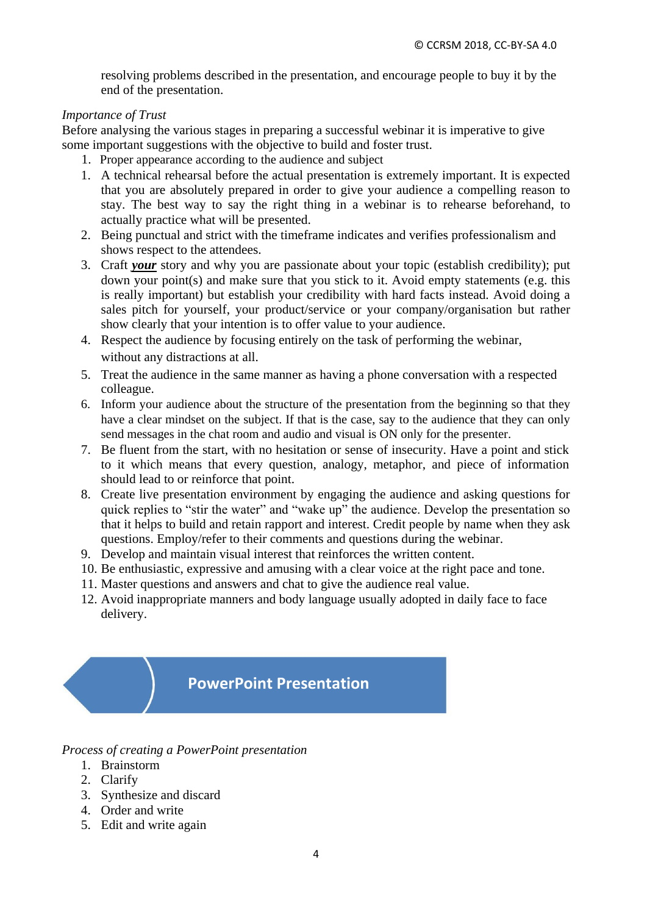resolving problems described in the presentation, and encourage people to buy it by the end of the presentation.

#### *Importance of Trust*

Before analysing the various stages in preparing a successful webinar it is imperative to give some important suggestions with the objective to build and foster trust.

- 1. Proper appearance according to the audience and subject
- 1. A technical rehearsal before the actual presentation is extremely important. It is expected that you are absolutely prepared in order to give your audience a compelling reason to stay. The best way to say the right thing in a webinar is to rehearse beforehand, to actually practice what will be presented.
- 2. Being punctual and strict with the timeframe indicates and verifies professionalism and shows respect to the attendees.
- 3. Craft *your* story and why you are passionate about your topic (establish credibility); put down your point(s) and make sure that you stick to it. Avoid empty statements (e.g. this is really important) but establish your credibility with hard facts instead. Avoid doing a sales pitch for yourself, your product/service or your company/organisation but rather show clearly that your intention is to offer value to your audience.
- 4. Respect the audience by focusing entirely on the task of performing the webinar, without any distractions at all.
- 5. Treat the audience in the same manner as having a phone conversation with a respected colleague.
- 6. Inform your audience about the structure of the presentation from the beginning so that they have a clear mindset on the subject. If that is the case, say to the audience that they can only send messages in the chat room and audio and visual is ON only for the presenter.
- 7. Be fluent from the start, with no hesitation or sense of insecurity. Have a point and stick to it which means that every question, analogy, metaphor, and piece of information should lead to or reinforce that point.
- 8. Create live presentation environment by engaging the audience and asking questions for quick replies to "stir the water" and "wake up" the audience. Develop the presentation so that it helps to build and retain rapport and interest. Credit people by name when they ask questions. Employ/refer to their comments and questions during the webinar.
- 9. Develop and maintain visual interest that reinforces the written content.
- 10. Be enthusiastic, expressive and amusing with a clear voice at the right pace and tone.
- 11. Master questions and answers and chat to give the audience real value.
- 12. Avoid inappropriate manners and body language usually adopted in daily face to face delivery.

### **PowerPoint Presentation**

#### *Process of creating a PowerPoint presentation*

- 1. Brainstorm
- 2. Clarify
- 3. Synthesize and discard
- 4. Order and write
- 5. Edit and write again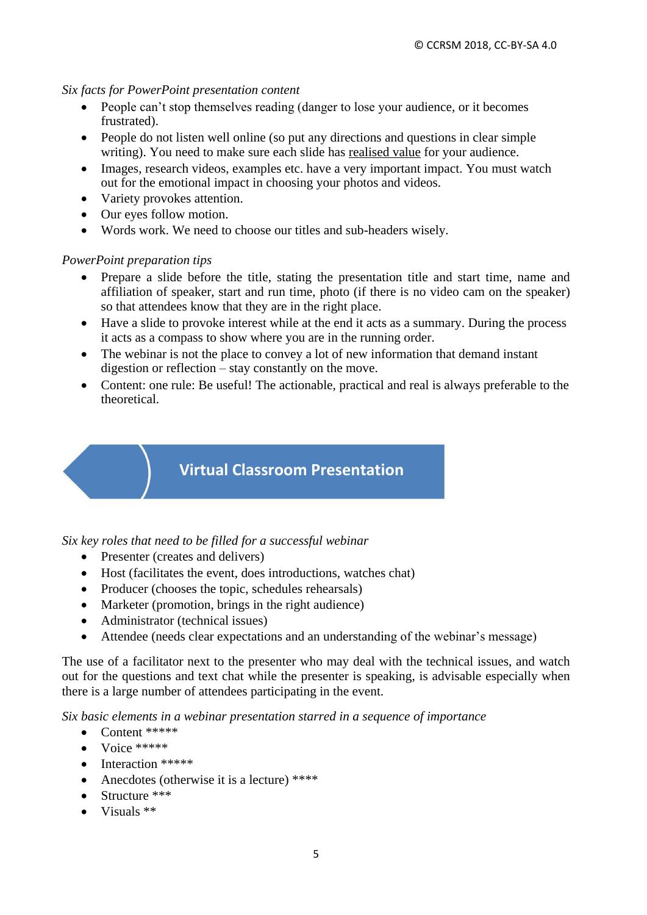#### *Six facts for PowerPoint presentation content*

- People can't stop themselves reading (danger to lose your audience, or it becomes frustrated).
- People do not listen well online (so put any directions and questions in clear simple writing). You need to make sure each slide has realised value for your audience.
- Images, research videos, examples etc. have a very important impact. You must watch out for the emotional impact in choosing your photos and videos.
- Variety provokes attention.
- Our eyes follow motion.
- Words work. We need to choose our titles and sub-headers wisely.

#### *PowerPoint preparation tips*

- Prepare a slide before the title, stating the presentation title and start time, name and affiliation of speaker, start and run time, photo (if there is no video cam on the speaker) so that attendees know that they are in the right place.
- Have a slide to provoke interest while at the end it acts as a summary. During the process it acts as a compass to show where you are in the running order.
- The webinar is not the place to convey a lot of new information that demand instant digestion or reflection – stay constantly on the move.
- Content: one rule: Be useful! The actionable, practical and real is always preferable to the theoretical.

# **Virtual Classroom Presentation**

*Six key roles that need to be filled for a successful webinar*

- Presenter (creates and delivers)
- Host (facilitates the event, does introductions, watches chat)
- Producer (chooses the topic, schedules rehearsals)
- Marketer (promotion, brings in the right audience)
- Administrator (technical issues)
- Attendee (needs clear expectations and an understanding of the webinar's message)

The use of a facilitator next to the presenter who may deal with the technical issues, and watch out for the questions and text chat while the presenter is speaking, is advisable especially when there is a large number of attendees participating in the event.

*Six basic elements in a webinar presentation starred in a sequence of importance*

- $\bullet$  Content \*\*\*\*\*
- $\bullet$  Voice \*\*\*\*\*
- Interaction \*\*\*\*\*\*
- Anecdotes (otherwise it is a lecture) \*\*\*\*
- $\bullet$  Structure \*\*\*
- $\bullet$  Visuals  $**$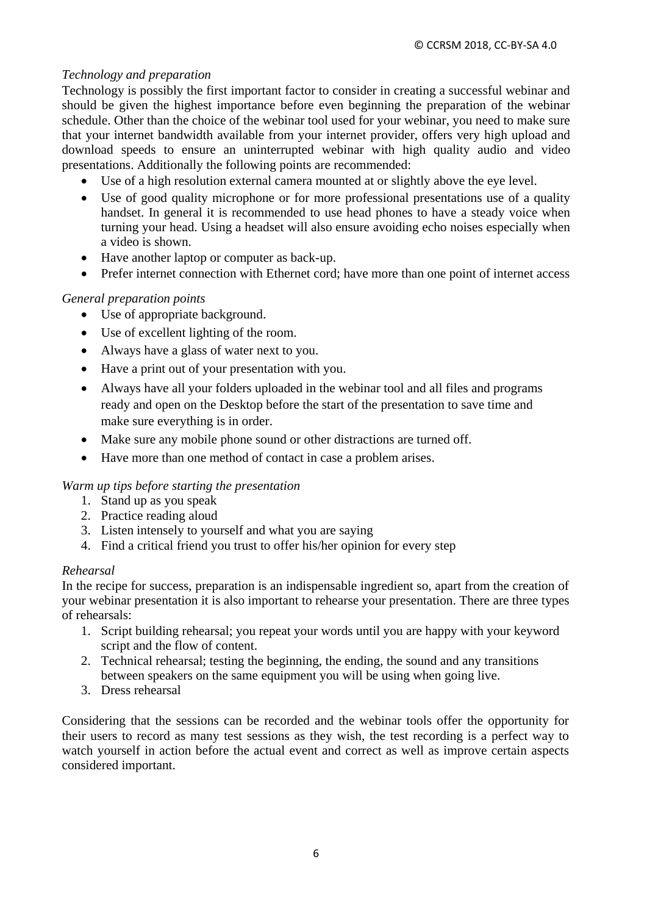### *Technology and preparation*

Technology is possibly the first important factor to consider in creating a successful webinar and should be given the highest importance before even beginning the preparation of the webinar schedule. Other than the choice of the webinar tool used for your webinar, you need to make sure that your internet bandwidth available from your internet provider, offers very high upload and download speeds to ensure an uninterrupted webinar with high quality audio and video presentations. Additionally the following points are recommended:

- Use of a high resolution external camera mounted at or slightly above the eye level.
- Use of good quality microphone or for more professional presentations use of a quality handset. In general it is recommended to use head phones to have a steady voice when turning your head. Using a headset will also ensure avoiding echo noises especially when a video is shown.
- Have another laptop or computer as back-up.
- Prefer internet connection with Ethernet cord; have more than one point of internet access

### *General preparation points*

- Use of appropriate background.
- Use of excellent lighting of the room.
- Always have a glass of water next to you.
- Have a print out of your presentation with you.
- Always have all your folders uploaded in the webinar tool and all files and programs ready and open on the Desktop before the start of the presentation to save time and make sure everything is in order.
- Make sure any mobile phone sound or other distractions are turned off.
- Have more than one method of contact in case a problem arises.

### *Warm up tips before starting the presentation*

- 1. Stand up as you speak
- 2. Practice reading aloud
- 3. Listen intensely to yourself and what you are saying
- 4. Find a critical friend you trust to offer his/her opinion for every step

### *Rehearsal*

In the recipe for success, preparation is an indispensable ingredient so, apart from the creation of your webinar presentation it is also important to rehearse your presentation. There are three types of rehearsals:

- 1. Script building rehearsal; you repeat your words until you are happy with your keyword script and the flow of content.
- 2. Technical rehearsal; testing the beginning, the ending, the sound and any transitions between speakers on the same equipment you will be using when going live.
- 3. Dress rehearsal

Considering that the sessions can be recorded and the webinar tools offer the opportunity for their users to record as many test sessions as they wish, the test recording is a perfect way to watch yourself in action before the actual event and correct as well as improve certain aspects considered important.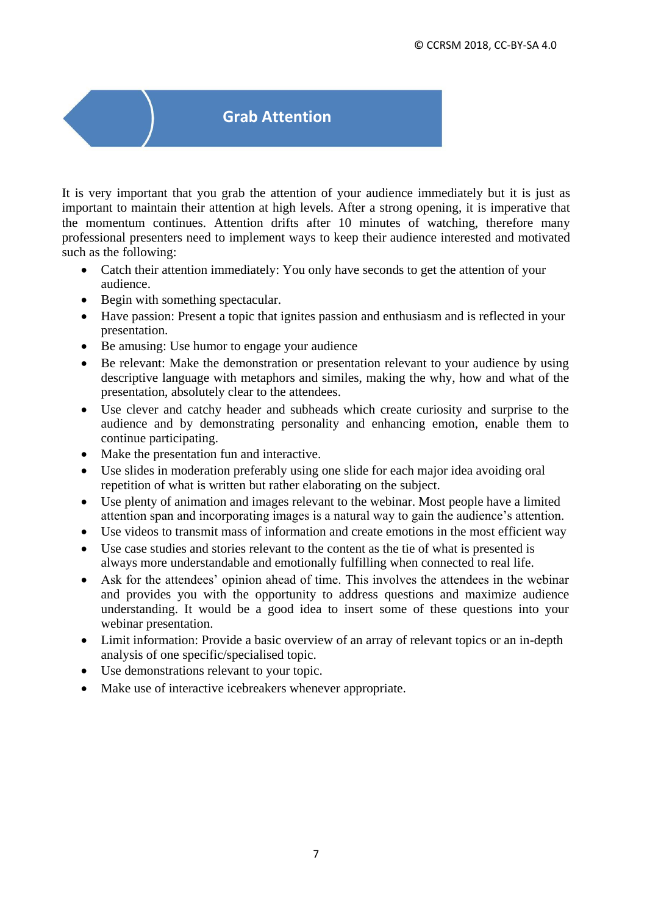## **Grab Attention**

It is very important that you grab the attention of your audience immediately but it is just as important to maintain their attention at high levels. After a strong opening, it is imperative that the momentum continues. Attention drifts after 10 minutes of watching, therefore many professional presenters need to implement ways to keep their audience interested and motivated such as the following:

- Catch their attention immediately: You only have seconds to get the attention of your audience.
- Begin with something spectacular.
- Have passion: Present a topic that ignites passion and enthusiasm and is reflected in your presentation.
- Be amusing: Use humor to engage your audience
- Be relevant: Make the demonstration or presentation relevant to your audience by using descriptive language with metaphors and similes, making the why, how and what of the presentation, absolutely clear to the attendees.
- Use clever and catchy header and subheads which create curiosity and surprise to the audience and by demonstrating personality and enhancing emotion, enable them to continue participating.
- Make the presentation fun and interactive.
- Use slides in moderation preferably using one slide for each major idea avoiding oral repetition of what is written but rather elaborating on the subject.
- Use plenty of animation and images relevant to the webinar. Most people have a limited attention span and incorporating images is a natural way to gain the audience's attention.
- Use videos to transmit mass of information and create emotions in the most efficient way
- Use case studies and stories relevant to the content as the tie of what is presented is always more understandable and emotionally fulfilling when connected to real life.
- Ask for the attendees' opinion ahead of time. This involves the attendees in the webinar and provides you with the opportunity to address questions and maximize audience understanding. It would be a good idea to insert some of these questions into your webinar presentation.
- Limit information: Provide a basic overview of an array of relevant topics or an in-depth analysis of one specific/specialised topic.
- Use demonstrations relevant to your topic.
- Make use of interactive icebreakers whenever appropriate.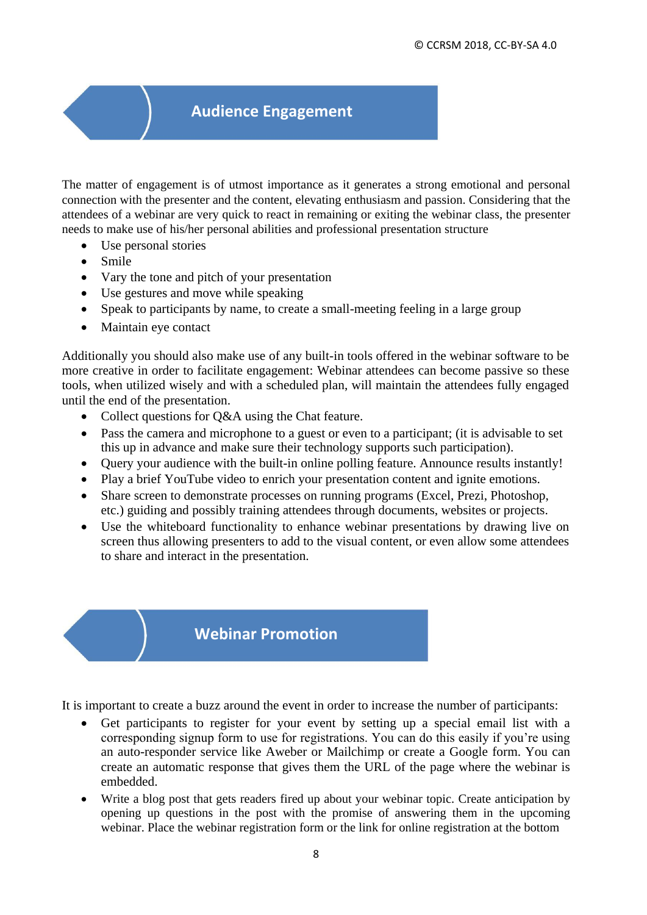### **Audience Engagement**

The matter of engagement is of utmost importance as it generates a strong emotional and personal connection with the presenter and the content, elevating enthusiasm and passion. Considering that the attendees of a webinar are very quick to react in remaining or exiting the webinar class, the presenter needs to make use of his/her personal abilities and professional presentation structure

- Use personal stories
- Smile
- Vary the tone and pitch of your presentation
- Use gestures and move while speaking
- Speak to participants by name, to create a small-meeting feeling in a large group
- Maintain eye contact

Additionally you should also make use of any built-in tools offered in the webinar software to be more creative in order to facilitate engagement: Webinar attendees can become passive so these tools, when utilized wisely and with a scheduled plan, will maintain the attendees fully engaged until the end of the presentation.

- Collect questions for O&A using the Chat feature.
- Pass the camera and microphone to a guest or even to a participant; (it is advisable to set this up in advance and make sure their technology supports such participation).
- Query your audience with the built-in online polling feature. Announce results instantly!
- Play a brief YouTube video to enrich your presentation content and ignite emotions.
- Share screen to demonstrate processes on running programs (Excel, Prezi, Photoshop, etc.) guiding and possibly training attendees through documents, websites or projects.
- Use the whiteboard functionality to enhance webinar presentations by drawing live on screen thus allowing presenters to add to the visual content, or even allow some attendees to share and interact in the presentation.

### **Webinar Promotion**

It is important to create a buzz around the event in order to increase the number of participants:

- Get participants to register for your event by setting up a special email list with a corresponding signup form to use for registrations. You can do this easily if you're using an auto-responder service like Aweber or Mailchimp or create a Google form. You can create an automatic response that gives them the URL of the page where the webinar is embedded.
- Write a blog post that gets readers fired up about your webinar topic. Create anticipation by opening up questions in the post with the promise of answering them in the upcoming webinar. Place the webinar registration form or the link for online registration at the bottom